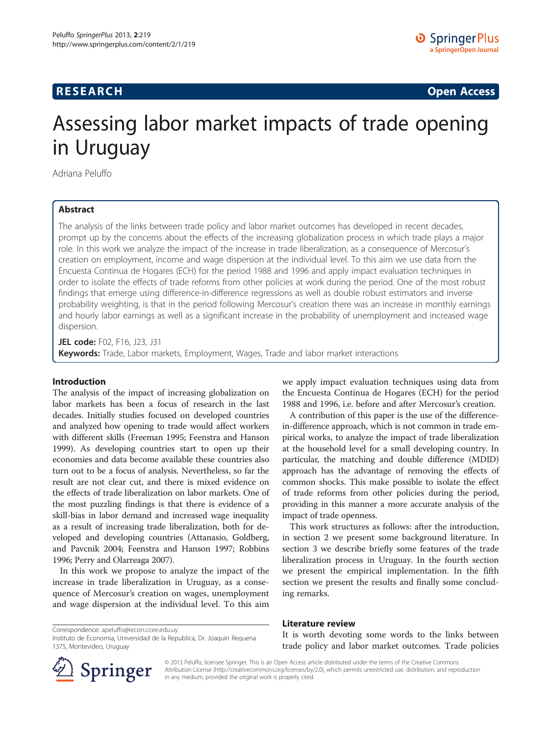# **RESEARCH RESEARCH CONSUMING ACCESS**

# Assessing labor market impacts of trade opening in Uruguay

Adriana Peluffo

## Abstract

The analysis of the links between trade policy and labor market outcomes has developed in recent decades, prompt up by the concerns about the effects of the increasing globalization process in which trade plays a major role. In this work we analyze the impact of the increase in trade liberalization, as a consequence of Mercosur's creation on employment, income and wage dispersion at the individual level. To this aim we use data from the Encuesta Continua de Hogares (ECH) for the period 1988 and 1996 and apply impact evaluation techniques in order to isolate the effects of trade reforms from other policies at work during the period. One of the most robust findings that emerge using difference-in-difference regressions as well as double robust estimators and inverse probability weighting, is that in the period following Mercosur's creation there was an increase in monthly earnings and hourly labor earnings as well as a significant increase in the probability of unemployment and increased wage dispersion.

JEL code: F02, F16, J23, J31 Keywords: Trade, Labor markets, Employment, Wages, Trade and labor market interactions

### Introduction

The analysis of the impact of increasing globalization on labor markets has been a focus of research in the last decades. Initially studies focused on developed countries and analyzed how opening to trade would affect workers with different skills (Freeman [1995;](#page-18-0) Feenstra and Hanson [1999\)](#page-18-0). As developing countries start to open up their economies and data become available these countries also turn out to be a focus of analysis. Nevertheless, so far the result are not clear cut, and there is mixed evidence on the effects of trade liberalization on labor markets. One of the most puzzling findings is that there is evidence of a skill-bias in labor demand and increased wage inequality as a result of increasing trade liberalization, both for developed and developing countries (Attanasio, Goldberg, and Pavcnik [2004](#page-18-0); Feenstra and Hanson [1997](#page-18-0); Robbins [1996;](#page-18-0) Perry and Olarreaga [2007\)](#page-18-0).

In this work we propose to analyze the impact of the increase in trade liberalization in Uruguay, as a consequence of Mercosur's creation on wages, unemployment and wage dispersion at the individual level. To this aim

Instituto de Economia, Universidad de la Republica, Dr. Joaquin Requena

we apply impact evaluation techniques using data from the Encuesta Continua de Hogares (ECH) for the period 1988 and 1996, i.e. before and after Mercosur's creation.

A contribution of this paper is the use of the differencein-difference approach, which is not common in trade empirical works, to analyze the impact of trade liberalization at the household level for a small developing country. In particular, the matching and double difference (MDID) approach has the advantage of removing the effects of common shocks. This make possible to isolate the effect of trade reforms from other policies during the period, providing in this manner a more accurate analysis of the impact of trade openness.

This work structures as follows: after the introduction, in section 2 we present some background literature. In section 3 we describe briefly some features of the trade liberalization process in Uruguay. In the fourth section we present the empirical implementation. In the fifth section we present the results and finally some concluding remarks.

#### Literature review

It is worth devoting some words to the links between trade policy and labor market outcomes. Trade policies



1375, Montevideo, Uruguay

Correspondence: [apeluffo@iecon.ccee.edu.uy](mailto:apeluffo@iecon.ccee.edu.uy)

© 2013 Peluffo; licensee Springer. This is an Open Access article distributed under the terms of the Creative Commons Attribution License [\(http://creativecommons.org/licenses/by/2.0\)](http://creativecommons.org/licenses/by/2.0), which permits unrestricted use, distribution, and reproduction in any medium, provided the original work is properly cited.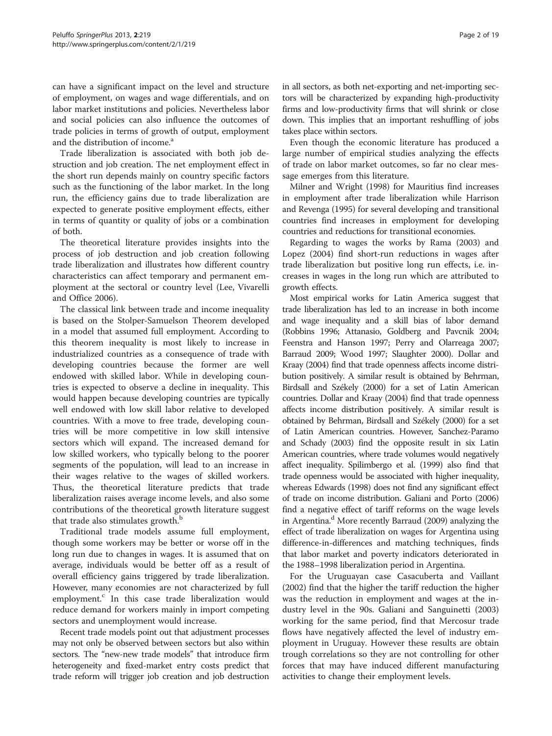can have a significant impact on the level and structure of employment, on wages and wage differentials, and on labor market institutions and policies. Nevertheless labor and social policies can also influence the outcomes of trade policies in terms of growth of output, employment and the distribution of income.<sup>a</sup>

Trade liberalization is associated with both job destruction and job creation. The net employment effect in the short run depends mainly on country specific factors such as the functioning of the labor market. In the long run, the efficiency gains due to trade liberalization are expected to generate positive employment effects, either in terms of quantity or quality of jobs or a combination of both.

The theoretical literature provides insights into the process of job destruction and job creation following trade liberalization and illustrates how different country characteristics can affect temporary and permanent employment at the sectoral or country level (Lee, Vivarelli and Office [2006\)](#page-18-0).

The classical link between trade and income inequality is based on the Stolper-Samuelson Theorem developed in a model that assumed full employment. According to this theorem inequality is most likely to increase in industrialized countries as a consequence of trade with developing countries because the former are well endowed with skilled labor. While in developing countries is expected to observe a decline in inequality. This would happen because developing countries are typically well endowed with low skill labor relative to developed countries. With a move to free trade, developing countries will be more competitive in low skill intensive sectors which will expand. The increased demand for low skilled workers, who typically belong to the poorer segments of the population, will lead to an increase in their wages relative to the wages of skilled workers. Thus, the theoretical literature predicts that trade liberalization raises average income levels, and also some contributions of the theoretical growth literature suggest that trade also stimulates growth.<sup>b</sup>

Traditional trade models assume full employment, though some workers may be better or worse off in the long run due to changes in wages. It is assumed that on average, individuals would be better off as a result of overall efficiency gains triggered by trade liberalization. However, many economies are not characterized by full employment.<sup>c</sup> In this case trade liberalization would reduce demand for workers mainly in import competing sectors and unemployment would increase.

Recent trade models point out that adjustment processes may not only be observed between sectors but also within sectors. The "new-new trade models" that introduce firm heterogeneity and fixed-market entry costs predict that trade reform will trigger job creation and job destruction in all sectors, as both net-exporting and net-importing sectors will be characterized by expanding high-productivity firms and low-productivity firms that will shrink or close down. This implies that an important reshuffling of jobs takes place within sectors.

Even though the economic literature has produced a large number of empirical studies analyzing the effects of trade on labor market outcomes, so far no clear message emerges from this literature.

Milner and Wright [\(1998\)](#page-18-0) for Mauritius find increases in employment after trade liberalization while Harrison and Revenga [\(1995](#page-18-0)) for several developing and transitional countries find increases in employment for developing countries and reductions for transitional economies.

Regarding to wages the works by Rama ([2003](#page-18-0)) and Lopez [\(2004](#page-18-0)) find short-run reductions in wages after trade liberalization but positive long run effects, i.e. increases in wages in the long run which are attributed to growth effects.

Most empirical works for Latin America suggest that trade liberalization has led to an increase in both income and wage inequality and a skill bias of labor demand (Robbins [1996](#page-18-0); Attanasio, Goldberg and Pavcnik [2004](#page-18-0); Feenstra and Hanson [1997;](#page-18-0) Perry and Olarreaga [2007](#page-18-0); Barraud [2009](#page-18-0); Wood [1997;](#page-18-0) Slaughter [2000](#page-18-0)). Dollar and Kraay [\(2004\)](#page-18-0) find that trade openness affects income distribution positively. A similar result is obtained by Behrman, Birdsall and Székely ([2000](#page-18-0)) for a set of Latin American countries. Dollar and Kraay ([2004](#page-18-0)) find that trade openness affects income distribution positively. A similar result is obtained by Behrman, Birdsall and Székely [\(2000](#page-18-0)) for a set of Latin American countries. However, Sanchez-Paramo and Schady [\(2003\)](#page-18-0) find the opposite result in six Latin American countries, where trade volumes would negatively affect inequality. Spilimbergo et al. [\(1999\)](#page-18-0) also find that trade openness would be associated with higher inequality, whereas Edwards [\(1998](#page-18-0)) does not find any significant effect of trade on income distribution. Galiani and Porto [\(2006](#page-18-0)) find a negative effect of tariff reforms on the wage levels in Argentina.<sup>d</sup> More recently Barraud ([2009](#page-18-0)) analyzing the effect of trade liberalization on wages for Argentina using difference-in-differences and matching techniques, finds that labor market and poverty indicators deteriorated in the 1988–1998 liberalization period in Argentina.

For the Uruguayan case Casacuberta and Vaillant ([2002\)](#page-18-0) find that the higher the tariff reduction the higher was the reduction in employment and wages at the industry level in the 90s. Galiani and Sanguinetti ([2003](#page-18-0)) working for the same period, find that Mercosur trade flows have negatively affected the level of industry employment in Uruguay. However these results are obtain trough correlations so they are not controlling for other forces that may have induced different manufacturing activities to change their employment levels.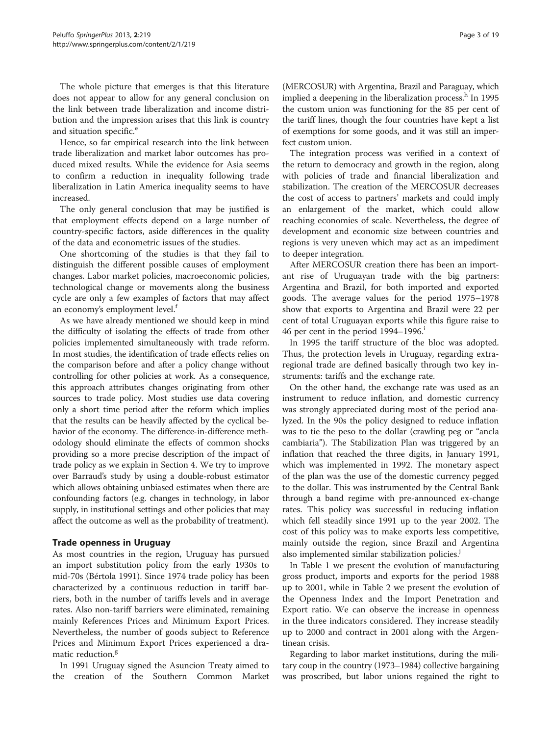The whole picture that emerges is that this literature does not appear to allow for any general conclusion on the link between trade liberalization and income distribution and the impression arises that this link is country and situation specific.<sup>e</sup>

Hence, so far empirical research into the link between trade liberalization and market labor outcomes has produced mixed results. While the evidence for Asia seems to confirm a reduction in inequality following trade liberalization in Latin America inequality seems to have increased.

The only general conclusion that may be justified is that employment effects depend on a large number of country-specific factors, aside differences in the quality of the data and econometric issues of the studies.

One shortcoming of the studies is that they fail to distinguish the different possible causes of employment changes. Labor market policies, macroeconomic policies, technological change or movements along the business cycle are only a few examples of factors that may affect an economy's employment level.<sup>f</sup>

As we have already mentioned we should keep in mind the difficulty of isolating the effects of trade from other policies implemented simultaneously with trade reform. In most studies, the identification of trade effects relies on the comparison before and after a policy change without controlling for other policies at work. As a consequence, this approach attributes changes originating from other sources to trade policy. Most studies use data covering only a short time period after the reform which implies that the results can be heavily affected by the cyclical behavior of the economy. The difference-in-difference methodology should eliminate the effects of common shocks providing so a more precise description of the impact of trade policy as we explain in Section 4. We try to improve over Barraud's study by using a double-robust estimator which allows obtaining unbiased estimates when there are confounding factors (e.g. changes in technology, in labor supply, in institutional settings and other policies that may affect the outcome as well as the probability of treatment).

### Trade openness in Uruguay

As most countries in the region, Uruguay has pursued an import substitution policy from the early 1930s to mid-70s (Bértola [1991\)](#page-18-0). Since 1974 trade policy has been characterized by a continuous reduction in tariff barriers, both in the number of tariffs levels and in average rates. Also non-tariff barriers were eliminated, remaining mainly References Prices and Minimum Export Prices. Nevertheless, the number of goods subject to Reference Prices and Minimum Export Prices experienced a dramatic reduction.<sup>g</sup>

In 1991 Uruguay signed the Asuncion Treaty aimed to the creation of the Southern Common Market

(MERCOSUR) with Argentina, Brazil and Paraguay, which implied a deepening in the liberalization process.<sup>h</sup> In 1995 the custom union was functioning for the 85 per cent of the tariff lines, though the four countries have kept a list of exemptions for some goods, and it was still an imperfect custom union.

The integration process was verified in a context of the return to democracy and growth in the region, along with policies of trade and financial liberalization and stabilization. The creation of the MERCOSUR decreases the cost of access to partners' markets and could imply an enlargement of the market, which could allow reaching economies of scale. Nevertheless, the degree of development and economic size between countries and regions is very uneven which may act as an impediment to deeper integration.

After MERCOSUR creation there has been an important rise of Uruguayan trade with the big partners: Argentina and Brazil, for both imported and exported goods. The average values for the period 1975–1978 show that exports to Argentina and Brazil were 22 per cent of total Uruguayan exports while this figure raise to 46 per cent in the period  $1994-1996$ <sup>1</sup>

In 1995 the tariff structure of the bloc was adopted. Thus, the protection levels in Uruguay, regarding extraregional trade are defined basically through two key instruments: tariffs and the exchange rate.

On the other hand, the exchange rate was used as an instrument to reduce inflation, and domestic currency was strongly appreciated during most of the period analyzed. In the 90s the policy designed to reduce inflation was to tie the peso to the dollar (crawling peg or "ancla cambiaria"). The Stabilization Plan was triggered by an inflation that reached the three digits, in January 1991, which was implemented in 1992. The monetary aspect of the plan was the use of the domestic currency pegged to the dollar. This was instrumented by the Central Bank through a band regime with pre-announced ex-change rates. This policy was successful in reducing inflation which fell steadily since 1991 up to the year 2002. The cost of this policy was to make exports less competitive, mainly outside the region, since Brazil and Argentina also implemented similar stabilization policies.<sup>*j*</sup>

In Table [1](#page-3-0) we present the evolution of manufacturing gross product, imports and exports for the period 1988 up to 2001, while in Table [2](#page-3-0) we present the evolution of the Openness Index and the Import Penetration and Export ratio. We can observe the increase in openness in the three indicators considered. They increase steadily up to 2000 and contract in 2001 along with the Argentinean crisis.

Regarding to labor market institutions, during the military coup in the country (1973–1984) collective bargaining was proscribed, but labor unions regained the right to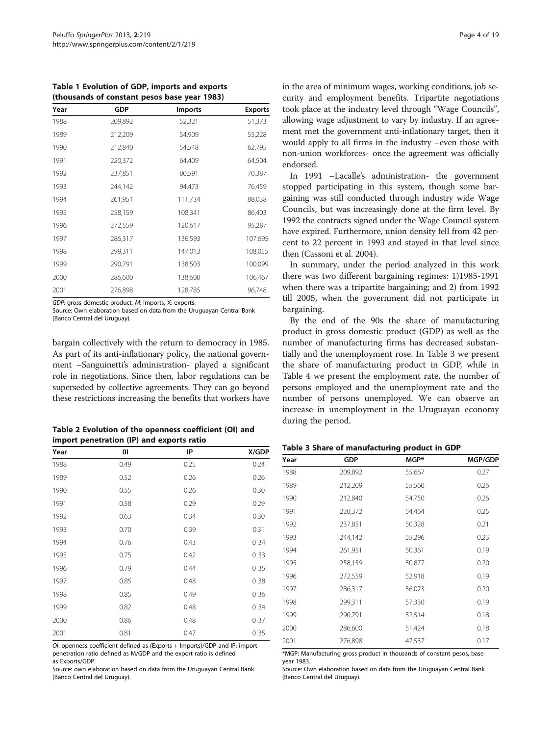<span id="page-3-0"></span>Table 1 Evolution of GDP, imports and exports (thousands of constant pesos base year 1983)

| Year | GDP     | <b>Imports</b> | <b>Exports</b> |
|------|---------|----------------|----------------|
| 1988 | 209,892 | 52,321         | 51,373         |
| 1989 | 212,209 | 54,909         | 55,228         |
| 1990 | 212,840 | 54,548         | 62,795         |
| 1991 | 220,372 | 64,409         | 64,504         |
| 1992 | 237,851 | 80,591         | 70,387         |
| 1993 | 244,142 | 94,473         | 76,459         |
| 1994 | 261,951 | 111,734        | 88,038         |
| 1995 | 258,159 | 108,341        | 86,403         |
| 1996 | 272,559 | 120,617        | 95,287         |
| 1997 | 286,317 | 136,593        | 107,695        |
| 1998 | 299,311 | 147,013        | 108,055        |
| 1999 | 290,791 | 138,503        | 100,099        |
| 2000 | 286,600 | 138,600        | 106,467        |
| 2001 | 276,898 | 128,785        | 96,748         |

GDP: gross domestic product, M: imports, X: exports.

Source: Own elaboration based on data from the Uruguayan Central Bank (Banco Central del Uruguay).

bargain collectively with the return to democracy in 1985. As part of its anti-inflationary policy, the national government –Sanguinetti's administration- played a significant role in negotiations. Since then, labor regulations can be superseded by collective agreements. They can go beyond these restrictions increasing the benefits that workers have

| Table 2 Evolution of the openness coefficient (OI) and |
|--------------------------------------------------------|
| import penetration (IP) and exports ratio              |

| Year | 01   | IP   | X/GDP |
|------|------|------|-------|
| 1988 | 0.49 | 0.25 | 0.24  |
| 1989 | 0.52 | 0.26 | 0.26  |
| 1990 | 0.55 | 0.26 | 0.30  |
| 1991 | 0.58 | 0.29 | 0.29  |
| 1992 | 0.63 | 0.34 | 0.30  |
| 1993 | 0.70 | 0.39 | 0.31  |
| 1994 | 0.76 | 0.43 | 0 34  |
| 1995 | 0.75 | 0.42 | 0 3 3 |
| 1996 | 0.79 | 0.44 | 0 35  |
| 1997 | 0.85 | 0.48 | 0 3 8 |
| 1998 | 0.85 | 0.49 | 0 36  |
| 1999 | 0.82 | 0.48 | 0 34  |
| 2000 | 0.86 | 0,48 | 0 37  |
| 2001 | 0.81 | 0.47 | 0 35  |

OI: openness coefficient defined as (Exports + Imports)/GDP and IP: import penetration ratio defined as M/GDP and the export ratio is defined as Exports/GDP.

Source: own elaboration based on data from the Uruguayan Central Bank (Banco Central del Uruguay).

in the area of minimum wages, working conditions, job security and employment benefits. Tripartite negotiations took place at the industry level through "Wage Councils", allowing wage adjustment to vary by industry. If an agreement met the government anti-inflationary target, then it would apply to all firms in the industry –even those with non-union workforces- once the agreement was officially endorsed.

In 1991 –Lacalle's administration- the government stopped participating in this system, though some bargaining was still conducted through industry wide Wage Councils, but was increasingly done at the firm level. By 1992 the contracts signed under the Wage Council system have expired. Furthermore, union density fell from 42 percent to 22 percent in 1993 and stayed in that level since then (Cassoni et al. [2004\)](#page-18-0).

In summary, under the period analyzed in this work there was two different bargaining regimes: 1)1985-1991 when there was a tripartite bargaining; and 2) from 1992 till 2005, when the government did not participate in bargaining.

By the end of the 90s the share of manufacturing product in gross domestic product (GDP) as well as the number of manufacturing firms has decreased substantially and the unemployment rose. In Table 3 we present the share of manufacturing product in GDP, while in Table [4](#page-4-0) we present the employment rate, the number of persons employed and the unemployment rate and the number of persons unemployed. We can observe an increase in unemployment in the Uruguayan economy during the period.

Table 3 Share of manufacturing product in GDP

| Year | <b>GDP</b> | MGP*   | MGP/GDP |
|------|------------|--------|---------|
| 1988 | 209,892    | 55,667 | 0.27    |
| 1989 | 212,209    | 55,560 | 0.26    |
| 1990 | 212,840    | 54,750 | 0.26    |
| 1991 | 220,372    | 54,464 | 0.25    |
| 1992 | 237,851    | 50,328 | 0.21    |
| 1993 | 244,142    | 55,296 | 0.23    |
| 1994 | 261,951    | 50,361 | 0.19    |
| 1995 | 258,159    | 50,877 | 0.20    |
| 1996 | 272,559    | 52,918 | 0.19    |
| 1997 | 286,317    | 56,023 | 0.20    |
| 1998 | 299,311    | 57,330 | 0.19    |
| 1999 | 290,791    | 52,514 | 0.18    |
| 2000 | 286,600    | 51,424 | 0.18    |
| 2001 | 276,898    | 47,537 | 0.17    |

\*MGP: Manufacturing gross product in thousands of constant pesos, base year 1983.

Source: Own elaboration based on data from the Uruguayan Central Bank (Banco Central del Uruguay).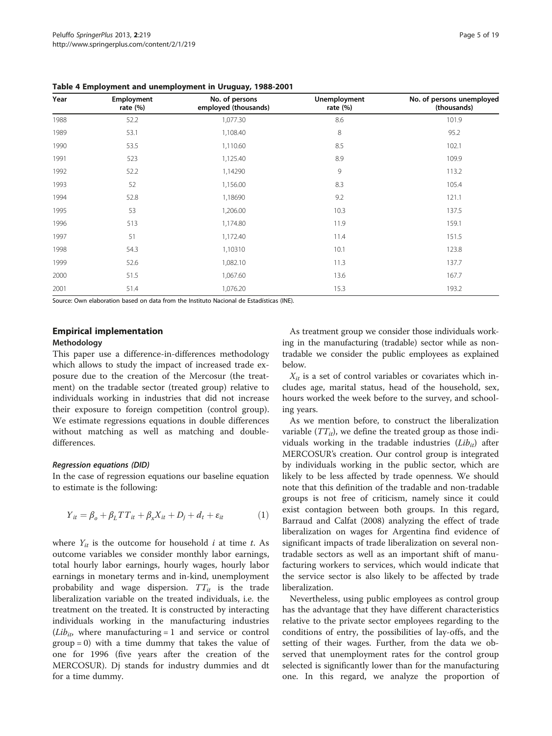| Year | Employment<br>rate $(\%)$ | No. of persons<br>employed (thousands) | <b>Unemployment</b><br>rate $(%)$ | No. of persons unemployed<br>(thousands) |
|------|---------------------------|----------------------------------------|-----------------------------------|------------------------------------------|
| 1988 | 52.2                      | 1,077.30                               | 8.6                               | 101.9                                    |
| 1989 | 53.1                      | 1,108.40                               | 8                                 | 95.2                                     |
| 1990 | 53.5                      | 1,110.60                               | 8.5                               | 102.1                                    |
| 1991 | 523                       | 1,125.40                               | 8.9                               | 109.9                                    |
| 1992 | 52.2                      | 1,14290                                | 9                                 | 113.2                                    |
| 1993 | 52                        | 1,156.00                               | 8.3                               | 105.4                                    |
| 1994 | 52.8                      | 1,18690                                | 9.2                               | 121.1                                    |
| 1995 | 53                        | 1,206.00                               | 10.3                              | 137.5                                    |
| 1996 | 513                       | 1,174.80                               | 11.9                              | 159.1                                    |
| 1997 | 51                        | 1,172.40                               | 11.4                              | 151.5                                    |
| 1998 | 54.3                      | 1,10310                                | 10.1                              | 123.8                                    |
| 1999 | 52.6                      | 1,082.10                               | 11.3                              | 137.7                                    |
| 2000 | 51.5                      | 1,067.60                               | 13.6                              | 167.7                                    |
| 2001 | 51.4                      | 1,076.20                               | 15.3                              | 193.2                                    |

<span id="page-4-0"></span>Table 4 Employment and unemployment in Uruguay, 1988-2001

Source: Own elaboration based on data from the Instituto Nacional de Estadísticas (INE).

#### Empirical implementation

#### Methodology

This paper use a difference-in-differences methodology which allows to study the impact of increased trade exposure due to the creation of the Mercosur (the treatment) on the tradable sector (treated group) relative to individuals working in industries that did not increase their exposure to foreign competition (control group). We estimate regressions equations in double differences without matching as well as matching and doubledifferences.

#### Regression equations (DID)

In the case of regression equations our baseline equation to estimate is the following:

$$
Y_{it} = \beta_o + \beta_L TT_{it} + \beta_x X_{it} + D_j + d_t + \varepsilon_{it}
$$
 (1)

where  $Y_{it}$  is the outcome for household *i* at time *t*. As outcome variables we consider monthly labor earnings, total hourly labor earnings, hourly wages, hourly labor earnings in monetary terms and in-kind, unemployment probability and wage dispersion.  $TT_{it}$  is the trade liberalization variable on the treated individuals, i.e. the treatment on the treated. It is constructed by interacting individuals working in the manufacturing industries  $(Lib_{it})$ , where manufacturing = 1 and service or control  $group = 0)$  with a time dummy that takes the value of one for 1996 (five years after the creation of the MERCOSUR). Dj stands for industry dummies and dt for a time dummy.

As treatment group we consider those individuals working in the manufacturing (tradable) sector while as nontradable we consider the public employees as explained below.

 $X_{it}$  is a set of control variables or covariates which includes age, marital status, head of the household, sex, hours worked the week before to the survey, and schooling years.

As we mention before, to construct the liberalization variable  $(TT_{it})$ , we define the treated group as those individuals working in the tradable industries  $(Lib_{it})$  after MERCOSUR's creation. Our control group is integrated by individuals working in the public sector, which are likely to be less affected by trade openness. We should note that this definition of the tradable and non-tradable groups is not free of criticism, namely since it could exist contagion between both groups. In this regard, Barraud and Calfat [\(2008\)](#page-18-0) analyzing the effect of trade liberalization on wages for Argentina find evidence of significant impacts of trade liberalization on several nontradable sectors as well as an important shift of manufacturing workers to services, which would indicate that the service sector is also likely to be affected by trade liberalization.

Nevertheless, using public employees as control group has the advantage that they have different characteristics relative to the private sector employees regarding to the conditions of entry, the possibilities of lay-offs, and the setting of their wages. Further, from the data we observed that unemployment rates for the control group selected is significantly lower than for the manufacturing one. In this regard, we analyze the proportion of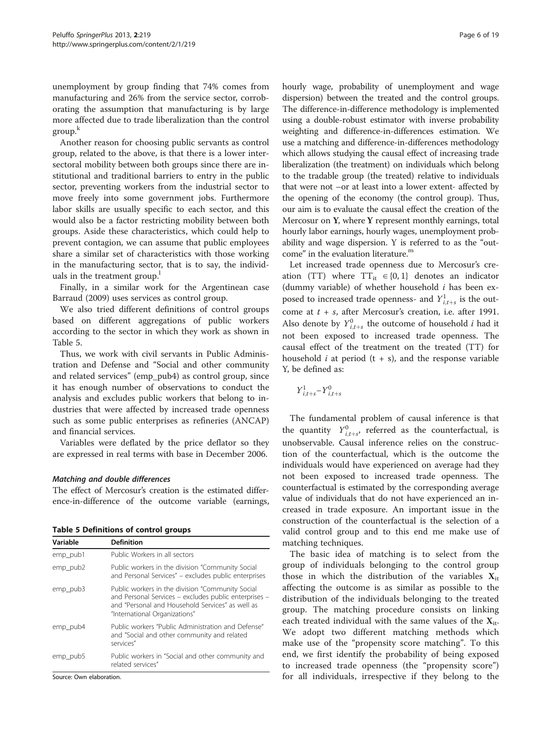<span id="page-5-0"></span>unemployment by group finding that 74% comes from manufacturing and 26% from the service sector, corroborating the assumption that manufacturing is by large more affected due to trade liberalization than the control group.<sup>k</sup>

Another reason for choosing public servants as control group, related to the above, is that there is a lower intersectoral mobility between both groups since there are institutional and traditional barriers to entry in the public sector, preventing workers from the industrial sector to move freely into some government jobs. Furthermore labor skills are usually specific to each sector, and this would also be a factor restricting mobility between both groups. Aside these characteristics, which could help to prevent contagion, we can assume that public employees share a similar set of characteristics with those working in the manufacturing sector, that is to say, the individuals in the treatment group.<sup>1</sup>

Finally, in a similar work for the Argentinean case Barraud [\(2009](#page-18-0)) uses services as control group.

We also tried different definitions of control groups based on different aggregations of public workers according to the sector in which they work as shown in Table 5.

Thus, we work with civil servants in Public Administration and Defense and "Social and other community and related services" (emp\_pub4) as control group, since it has enough number of observations to conduct the analysis and excludes public workers that belong to industries that were affected by increased trade openness such as some public enterprises as refineries (ANCAP) and financial services.

Variables were deflated by the price deflator so they are expressed in real terms with base in December 2006.

#### Matching and double differences

The effect of Mercosur's creation is the estimated difference-in-difference of the outcome variable (earnings,

| <b>Table 5 Definitions of control groups</b> |  |  |
|----------------------------------------------|--|--|
|                                              |  |  |

| Variable | <b>Definition</b>                                                                                                                                                                              |
|----------|------------------------------------------------------------------------------------------------------------------------------------------------------------------------------------------------|
| emp pub1 | Public Workers in all sectors                                                                                                                                                                  |
| emp_pub2 | Public workers in the division "Community Social<br>and Personal Services" – excludes public enterprises                                                                                       |
| emp pub3 | Public workers in the division "Community Social<br>and Personal Services - excludes public enterprises -<br>and "Personal and Household Services" as well as<br>"International Organizations" |
| emp pub4 | Public workers "Public Administration and Defense"<br>and "Social and other community and related<br>services"                                                                                 |
| emp_pub5 | Public workers in "Social and other community and<br>related services"                                                                                                                         |

Source: Own elaboration.

hourly wage, probability of unemployment and wage dispersion) between the treated and the control groups. The difference-in-difference methodology is implemented using a double-robust estimator with inverse probability weighting and difference-in-differences estimation. We use a matching and difference-in-differences methodology which allows studying the causal effect of increasing trade liberalization (the treatment) on individuals which belong to the tradable group (the treated) relative to individuals that were not –or at least into a lower extent- affected by the opening of the economy (the control group). Thus, our aim is to evaluate the causal effect the creation of the Mercosur on Y, where Y represent monthly earnings, total hourly labor earnings, hourly wages, unemployment probability and wage dispersion. Y is referred to as the "outcome" in the evaluation literature.<sup>m</sup>

Let increased trade openness due to Mercosur's creation (TT) where  $TT_{it} \in \{0, 1\}$  denotes an indicator (dummy variable) of whether household  $i$  has been exposed to increased trade openness- and  $Y^1_{i,t+s}$  is the outcome at  $t + s$ , after Mercosur's creation, i.e. after 1991. Also denote by  $Y_{i,t+s}^0$  the outcome of household *i* had it not been exposed to increased trade openness. The causal effect of the treatment on the treated (TT) for household  $i$  at period  $(t + s)$ , and the response variable Y, be defined as:

$$
\boldsymbol{Y}_{i,t+s}^{1}\!-\!\boldsymbol{Y}_{i,t+s}^{0}
$$

The fundamental problem of causal inference is that the quantity  $Y^0_{i,t+s}$ , referred as the counterfactual, is unobservable. Causal inference relies on the construction of the counterfactual, which is the outcome the individuals would have experienced on average had they not been exposed to increased trade openness. The counterfactual is estimated by the corresponding average value of individuals that do not have experienced an increased in trade exposure. An important issue in the construction of the counterfactual is the selection of a valid control group and to this end me make use of matching techniques.

The basic idea of matching is to select from the group of individuals belonging to the control group those in which the distribution of the variables  $X_{it}$ affecting the outcome is as similar as possible to the distribution of the individuals belonging to the treated group. The matching procedure consists on linking each treated individual with the same values of the  $X_{it}$ . We adopt two different matching methods which make use of the "propensity score matching". To this end, we first identify the probability of being exposed to increased trade openness (the "propensity score") for all individuals, irrespective if they belong to the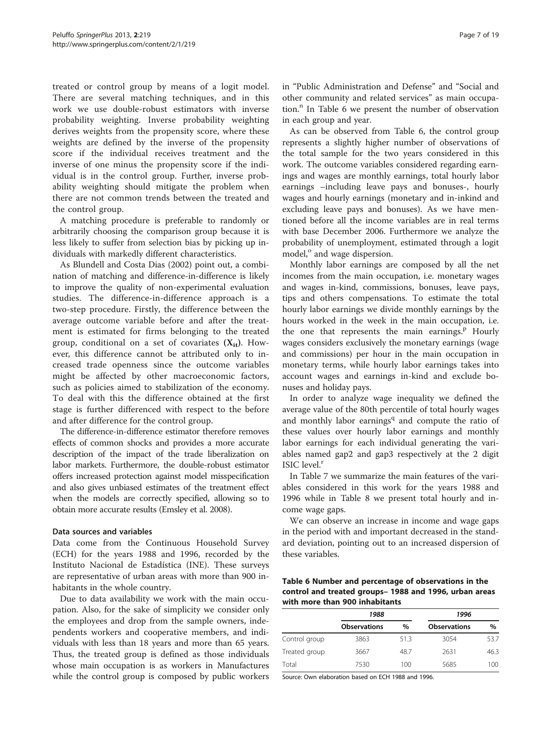treated or control group by means of a logit model. There are several matching techniques, and in this work we use double-robust estimators with inverse probability weighting. Inverse probability weighting derives weights from the propensity score, where these weights are defined by the inverse of the propensity score if the individual receives treatment and the inverse of one minus the propensity score if the individual is in the control group. Further, inverse probability weighting should mitigate the problem when there are not common trends between the treated and the control group.

A matching procedure is preferable to randomly or arbitrarily choosing the comparison group because it is less likely to suffer from selection bias by picking up individuals with markedly different characteristics.

As Blundell and Costa Dias [\(2002](#page-18-0)) point out, a combination of matching and difference-in-difference is likely to improve the quality of non-experimental evaluation studies. The difference-in-difference approach is a two-step procedure. Firstly, the difference between the average outcome variable before and after the treatment is estimated for firms belonging to the treated group, conditional on a set of covariates  $(X_{it})$ . However, this difference cannot be attributed only to increased trade openness since the outcome variables might be affected by other macroeconomic factors, such as policies aimed to stabilization of the economy. To deal with this the difference obtained at the first stage is further differenced with respect to the before and after difference for the control group.

The difference-in-difference estimator therefore removes effects of common shocks and provides a more accurate description of the impact of the trade liberalization on labor markets. Furthermore, the double-robust estimator offers increased protection against model misspecification and also gives unbiased estimates of the treatment effect when the models are correctly specified, allowing so to obtain more accurate results (Emsley et al. [2008](#page-18-0)).

#### Data sources and variables

Data come from the Continuous Household Survey (ECH) for the years 1988 and 1996, recorded by the Instituto Nacional de Estadística (INE). These surveys are representative of urban areas with more than 900 inhabitants in the whole country.

Due to data availability we work with the main occupation. Also, for the sake of simplicity we consider only the employees and drop from the sample owners, independents workers and cooperative members, and individuals with less than 18 years and more than 65 years. Thus, the treated group is defined as those individuals whose main occupation is as workers in Manufactures while the control group is composed by public workers in "Public Administration and Defense" and "Social and other community and related services" as main occupation.<sup>n</sup> In Table 6 we present the number of observation in each group and year.

As can be observed from Table 6, the control group represents a slightly higher number of observations of the total sample for the two years considered in this work. The outcome variables considered regarding earnings and wages are monthly earnings, total hourly labor earnings –including leave pays and bonuses-, hourly wages and hourly earnings (monetary and in-inkind and excluding leave pays and bonuses). As we have mentioned before all the income variables are in real terms with base December 2006. Furthermore we analyze the probability of unemployment, estimated through a logit model,<sup>o</sup> and wage dispersion.

Monthly labor earnings are composed by all the net incomes from the main occupation, i.e. monetary wages and wages in-kind, commissions, bonuses, leave pays, tips and others compensations. To estimate the total hourly labor earnings we divide monthly earnings by the hours worked in the week in the main occupation, i.e. the one that represents the main earnings.<sup>p</sup> Hourly wages considers exclusively the monetary earnings (wage and commissions) per hour in the main occupation in monetary terms, while hourly labor earnings takes into account wages and earnings in-kind and exclude bonuses and holiday pays.

In order to analyze wage inequality we defined the average value of the 80th percentile of total hourly wages and monthly labor earnings<sup>q</sup> and compute the ratio of these values over hourly labor earnings and monthly labor earnings for each individual generating the variables named gap2 and gap3 respectively at the 2 digit ISIC level.<sup>r</sup>

In Table [7](#page-7-0) we summarize the main features of the variables considered in this work for the years 1988 and 1996 while in Table [8](#page-8-0) we present total hourly and income wage gaps.

We can observe an increase in income and wage gaps in the period with and important decreased in the standard deviation, pointing out to an increased dispersion of these variables.

Table 6 Number and percentage of observations in the control and treated groups– 1988 and 1996, urban areas with more than 900 inhabitants

|               | 1988                |      | 1996                |      |
|---------------|---------------------|------|---------------------|------|
|               | <b>Observations</b> | $\%$ | <b>Observations</b> | $\%$ |
| Control group | 3863                | 51.3 | 3054                | 53.7 |
| Treated group | 3667                | 48.7 | 2631                | 46.3 |
| Total         | 7530                | 100  | 5685                | 100  |

Source: Own elaboration based on ECH 1988 and 1996.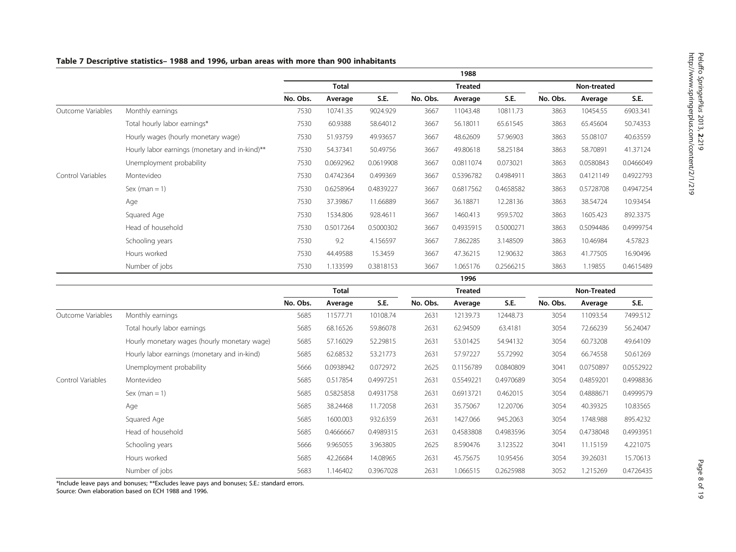# Outcome Variables Monthly earnings 7530 10741.35 9024.929 3667 11043.48 10811.73 3863 10454.55 6903.341 Total hourly labor earnings\* 7530 60.9388 58.64012 3667 56.18011 65.61545 3863 65.45604 50.74353 Hourly wages (hourly monetary wage) 7530 51.93759 49.93657 3667 48.62609 57.96903 3863 55.08107 40.63559 Hourly labor earnings (monetary and in-kind)\*\* 7530 54.37341 50.49756 3667 49.80618 58.25184 3863 58.70891 41.37124 Unemployment probability 7530 0.0692962 0.0619908 3667 0.0811074 0.073021 3863 0.0580843 0.0466049 Control Variables Montevideo 7530 0.4742364 0.499369 3667 0.5396782 0.4984911 3863 0.4121149 0.4922793 Sex (man = 1) 7530 0.6258964 0.4839227 3667 0.6817562 0.4658582 3863 0.5728708 0.4947254 Age 7530 37.39867 11.66889 3667 36.18871 12.28136 3863 38.54724 10.93454 Squared Age 7530 1534.806 928.4611 3667 1460.413 959.5702 3863 1605.423 892.3375 Head of household 7530 0.5017264 0.5000302 3667 0.4935915 0.5000271 3863 0.5094486 0.4999754 Schooling years 7530 9.2 4.156597 3667 7.862285 3.148509 3863 10.46984 4.57823 Hours worked 7530 44.49588 15.3459 3667 47.36215 12.90632 3863 41.77505 16.90496 Number of jobs 7530 1.133599 0.3818153 3667 1.065176 0.2566215 3863 1.19855 0.4615489 1996 Total **Treated** Treated **Non-Treated** Non-Treated No. Obs. Average S.E. No. Obs. Average S.E. No. Obs. Average S.E. Outcome Variables Monthly earnings 5685 11577.71 10108.74 2631 12139.73 12448.73 3054 11093.54 7499.512 Total hourly labor earnings 5685 68.16526 59.86078 2631 62.94509 63.4181 3054 72.66239 56.24047 Hourly monetary wages (hourly monetary wage) 5685 57.16029 52.29815 2631 53.01425 54.94132 3054 60.73208 49.64109 Hourly labor earnings (monetary and in-kind) 5685 62.68532 53.21773 2631 57.97227 55.72992 3054 66.74558 50.61269 Unemployment probability 5666 0.0938942 0.072972 2625 0.1156789 0.0840809 3041 0.0750897 0.0552922 Control Variables Montevideo 5685 0.517854 0.4997251 2631 0.5549221 0.4970689 3054 0.4859201 0.4998836 Sex (man = 1) 5685 0.5825858 0.4931758 2631 0.6913721 0.462015 3054 0.4888671 0.4999579 Age 5685 38.24468 11.72058 2631 35.75067 12.20706 3054 40.39325 10.83565 Squared Age 5685 1600.003 932.6359 2631 1427.066 945.2063 3054 1748.988 895.4232 Head of household 5685 0.4666667 0.4989315 2631 0.4583808 0.4983596 3054 0.4738048 0.4993951 Schooling years 5666 9.965055 3.963805 2625 8.590476 3.123522 3041 11.15159 4.221075

Hours worked 5685 42.26684 14.08965 2631 45.75675 10.95456 3054 39.26031 15.70613 Number of jobs 5683 1.146402 0.3967028 2631 1.066515 0.2625988 3052 1.215269 0.4726435

1988 Total Treated Non-treated No. Obs. Average S.E. No. Obs. Average S.E. No. Obs. Average S.E.

#### <span id="page-7-0"></span>Table 7 Descriptive statistics– 1988 and 1996, urban areas with more than 900 inhabitants

\*Include leave pays and bonuses; \*\*Excludes leave pays and bonuses; S.E.: standard errors.

Source: Own elaboration based on ECH 1988 and 1996.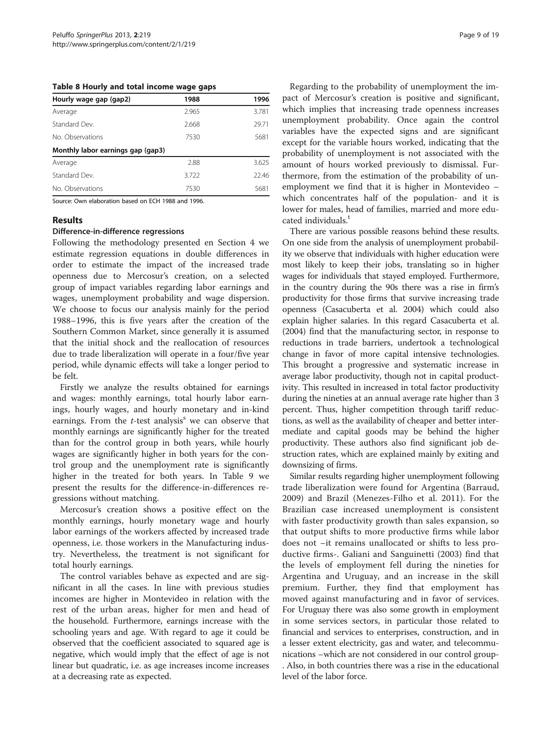<span id="page-8-0"></span>Table 8 Hourly and total income wage gaps

| Hourly wage gap (gap2)            | 1988  | 1996  |
|-----------------------------------|-------|-------|
| Average                           | 2.965 | 3.781 |
| Standard Dev                      | 2.668 | 29.71 |
| No. Observations                  | 7530  | 5681  |
| Monthly labor earnings gap (gap3) |       |       |
| Average                           | 2.88  | 3.625 |
| Standard Dev.                     | 3.722 | 22.46 |
| No. Observations                  | 7530  | 5681  |

Source: Own elaboration based on ECH 1988 and 1996.

#### Results

#### Difference-in-difference regressions

Following the methodology presented en Section 4 we estimate regression equations in double differences in order to estimate the impact of the increased trade openness due to Mercosur's creation, on a selected group of impact variables regarding labor earnings and wages, unemployment probability and wage dispersion. We choose to focus our analysis mainly for the period 1988–1996, this is five years after the creation of the Southern Common Market, since generally it is assumed that the initial shock and the reallocation of resources due to trade liberalization will operate in a four/five year period, while dynamic effects will take a longer period to be felt.

Firstly we analyze the results obtained for earnings and wages: monthly earnings, total hourly labor earnings, hourly wages, and hourly monetary and in-kind earnings. From the  $t$ -test analysis<sup>s</sup> we can observe that monthly earnings are significantly higher for the treated than for the control group in both years, while hourly wages are significantly higher in both years for the control group and the unemployment rate is significantly higher in the treated for both years. In Table [9](#page-9-0) we present the results for the difference-in-differences regressions without matching.

Mercosur's creation shows a positive effect on the monthly earnings, hourly monetary wage and hourly labor earnings of the workers affected by increased trade openness, i.e. those workers in the Manufacturing industry. Nevertheless, the treatment is not significant for total hourly earnings.

The control variables behave as expected and are significant in all the cases. In line with previous studies incomes are higher in Montevideo in relation with the rest of the urban areas, higher for men and head of the household. Furthermore, earnings increase with the schooling years and age. With regard to age it could be observed that the coefficient associated to squared age is negative, which would imply that the effect of age is not linear but quadratic, i.e. as age increases income increases at a decreasing rate as expected.

Regarding to the probability of unemployment the impact of Mercosur's creation is positive and significant, which implies that increasing trade openness increases unemployment probability. Once again the control variables have the expected signs and are significant except for the variable hours worked, indicating that the probability of unemployment is not associated with the amount of hours worked previously to dismissal. Furthermore, from the estimation of the probability of unemployment we find that it is higher in Montevideo – which concentrates half of the population- and it is lower for males, head of families, married and more educated individuals.<sup>t</sup>

There are various possible reasons behind these results. On one side from the analysis of unemployment probability we observe that individuals with higher education were most likely to keep their jobs, translating so in higher wages for individuals that stayed employed. Furthermore, in the country during the 90s there was a rise in firm's productivity for those firms that survive increasing trade openness (Casacuberta et al. [2004\)](#page-18-0) which could also explain higher salaries. In this regard Casacuberta et al. ([2004](#page-18-0)) find that the manufacturing sector, in response to reductions in trade barriers, undertook a technological change in favor of more capital intensive technologies. This brought a progressive and systematic increase in average labor productivity, though not in capital productivity. This resulted in increased in total factor productivity during the nineties at an annual average rate higher than 3 percent. Thus, higher competition through tariff reductions, as well as the availability of cheaper and better intermediate and capital goods may be behind the higher productivity. These authors also find significant job destruction rates, which are explained mainly by exiting and downsizing of firms.

Similar results regarding higher unemployment following trade liberalization were found for Argentina (Barraud, [2009\)](#page-18-0) and Brazil (Menezes-Filho et al. [2011\)](#page-18-0). For the Brazilian case increased unemployment is consistent with faster productivity growth than sales expansion, so that output shifts to more productive firms while labor does not –it remains unallocated or shifts to less productive firms-. Galiani and Sanguinetti ([2003](#page-18-0)) find that the levels of employment fell during the nineties for Argentina and Uruguay, and an increase in the skill premium. Further, they find that employment has moved against manufacturing and in favor of services. For Uruguay there was also some growth in employment in some services sectors, in particular those related to financial and services to enterprises, construction, and in a lesser extent electricity, gas and water, and telecommunications –which are not considered in our control group-

. Also, in both countries there was a rise in the educational level of the labor force.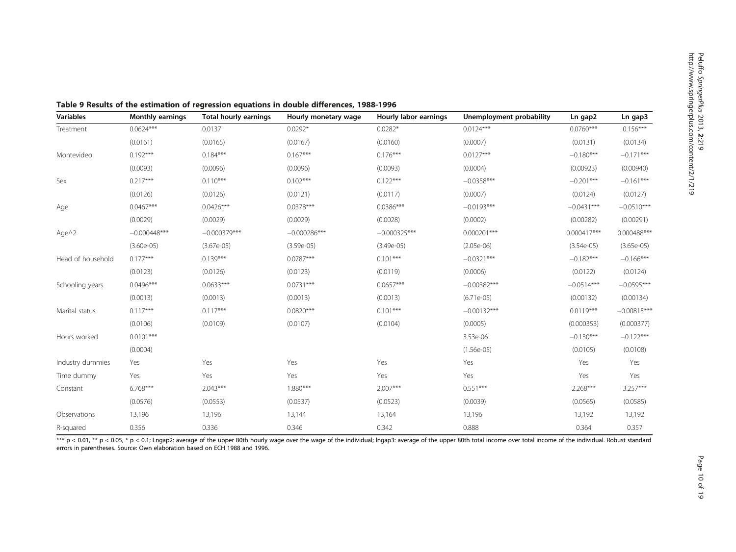| <b>Variables</b>  | <b>Monthly earnings</b> | Total hourly earnings | Hourly monetary wage | Hourly labor earnings | Unemployment probability | Ln gap2       | Ln gap3       |
|-------------------|-------------------------|-----------------------|----------------------|-----------------------|--------------------------|---------------|---------------|
| Treatment         | $0.0624***$             | 0.0137                | $0.0292*$            | $0.0282*$             | $0.0124***$              | $0.0760***$   | $0.156***$    |
|                   | (0.0161)                | (0.0165)              | (0.0167)             | (0.0160)              | (0.0007)                 | (0.0131)      | (0.0134)      |
| Montevideo        | $0.192***$              | $0.184***$            | $0.167***$           | $0.176***$            | $0.0127***$              | $-0.180***$   | $-0.171***$   |
|                   | (0.0093)                | (0.0096)              | (0.0096)             | (0.0093)              | (0.0004)                 | (0.00923)     | (0.00940)     |
| Sex               | $0.217***$              | $0.110***$            | $0.102***$           | $0.122***$            | $-0.0358***$             | $-0.201***$   | $-0.161***$   |
|                   | (0.0126)                | (0.0126)              | (0.0121)             | (0.0117)              | (0.0007)                 | (0.0124)      | (0.0127)      |
| Age               | $0.0467***$             | $0.0426***$           | $0.0378***$          | $0.0386***$           | $-0.0193***$             | $-0.0431***$  | $-0.0510***$  |
|                   | (0.0029)                | (0.0029)              | (0.0029)             | (0.0028)              | (0.0002)                 | (0.00282)     | (0.00291)     |
| Age^2             | $-0.000448***$          | $-0.000379***$        | $-0.000286***$       | $-0.000325***$        | $0.000201***$            | $0.000417***$ | 0.000488***   |
|                   | $(3.60e-05)$            | $(3.67e-05)$          | $(3.59e-05)$         | $(3.49e-05)$          | $(2.05e-06)$             | $(3.54e-05)$  | $(3.65e-05)$  |
| Head of household | $0.177***$              | $0.139***$            | $0.0787***$          | $0.101***$            | $-0.0321***$             | $-0.182***$   | $-0.166***$   |
|                   | (0.0123)                | (0.0126)              | (0.0123)             | (0.0119)              | (0.0006)                 | (0.0122)      | (0.0124)      |
| Schooling years   | $0.0496***$             | $0.0633***$           | $0.0731***$          | $0.0657***$           | $-0.00382***$            | $-0.0514***$  | $-0.0595***$  |
|                   | (0.0013)                | (0.0013)              | (0.0013)             | (0.0013)              | $(6.71e-05)$             | (0.00132)     | (0.00134)     |
| Marital status    | $0.117***$              | $0.117***$            | $0.0820***$          | $0.101***$            | $-0.00132***$            | $0.0119***$   | $-0.00815***$ |
|                   | (0.0106)                | (0.0109)              | (0.0107)             | (0.0104)              | (0.0005)                 | (0.000353)    | (0.000377)    |
| Hours worked      | $0.0101***$             |                       |                      |                       | 3.53e-06                 | $-0.130***$   | $-0.122***$   |
|                   | (0.0004)                |                       |                      |                       | $(1.56e-05)$             | (0.0105)      | (0.0108)      |
| Industry dummies  | Yes                     | Yes                   | Yes                  | Yes                   | Yes                      | Yes           | Yes           |
| Time dummy        | Yes                     | Yes                   | Yes                  | Yes                   | Yes                      | Yes           | Yes           |
| Constant          | $6.768***$              | $2.043***$            | 1.880***             | $2.007***$            | $0.551***$               | $2.268***$    | 3.257***      |
|                   | (0.0576)                | (0.0553)              | (0.0537)             | (0.0523)              | (0.0039)                 | (0.0565)      | (0.0585)      |
| Observations      | 13,196                  | 13,196                | 13,144               | 13,164                | 13,196                   | 13,192        | 13,192        |
| R-squared         | 0.356                   | 0.336                 | 0.346                | 0.342                 | 0.888                    | 0.364         | 0.357         |

<span id="page-9-0"></span>Table 9 Results of the estimation of regression equations in double differences, 1988-1996

 $***$  p < 0.01,  $**$  p < 0.05,  $*$  p < 0.1; Lngap2: average of the upper 80th hourly wage over the wage of the individual; lngap3: average of the upper 80th total income over total income of the individual. Robust standard errors in parentheses. Source: Own elaboration based on ECH 1988 and 1996.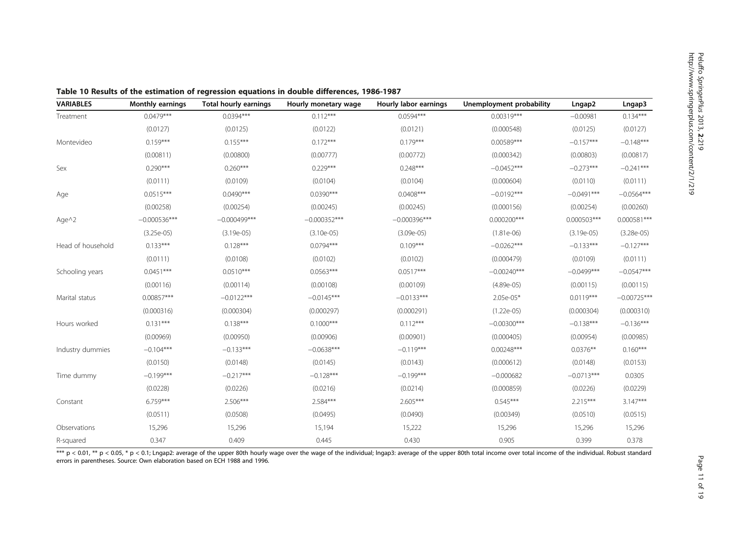| <b>VARIABLES</b>  | <b>Monthly earnings</b> | <b>Total hourly earnings</b> | Hourly monetary wage | Hourly labor earnings | Unemployment probability | Lngap2       | Lngap3        |
|-------------------|-------------------------|------------------------------|----------------------|-----------------------|--------------------------|--------------|---------------|
| Treatment         | $0.0479***$             | $0.0394***$                  | $0.112***$           | $0.0594***$           | $0.00319***$             | $-0.00981$   | $0.134***$    |
|                   | (0.0127)                | (0.0125)                     | (0.0122)             | (0.0121)              | (0.000548)               | (0.0125)     | (0.0127)      |
| Montevideo        | $0.159***$              | $0.155***$                   | $0.172***$           | $0.179***$            | 0.00589***               | $-0.157***$  | $-0.148***$   |
|                   | (0.00811)               | (0.00800)                    | (0.00777)            | (0.00772)             | (0.000342)               | (0.00803)    | (0.00817)     |
| Sex               | $0.290***$              | $0.260***$                   | $0.229***$           | $0.248***$            | $-0.0452***$             | $-0.273***$  | $-0.241***$   |
|                   | (0.0111)                | (0.0109)                     | (0.0104)             | (0.0104)              | (0.000604)               | (0.0110)     | (0.0111)      |
| Age               | $0.0515***$             | $0.0490***$                  | $0.0390***$          | $0.0408***$           | $-0.0192***$             | $-0.0491***$ | $-0.0564***$  |
|                   | (0.00258)               | (0.00254)                    | (0.00245)            | (0.00245)             | (0.000156)               | (0.00254)    | (0.00260)     |
| Age $\wedge$ 2    | $-0.000536***$          | $-0.000499***$               | $-0.000352***$       | $-0.000396***$        | $0.000200***$            | 0.000503***  | $0.000581***$ |
|                   | $(3.25e-05)$            | $(3.19e-05)$                 | $(3.10e-05)$         | $(3.09e-05)$          | $(1.81e-06)$             | $(3.19e-05)$ | $(3.28e-05)$  |
| Head of household | $0.133***$              | $0.128***$                   | $0.0794***$          | $0.109***$            | $-0.0262***$             | $-0.133***$  | $-0.127***$   |
|                   | (0.0111)                | (0.0108)                     | (0.0102)             | (0.0102)              | (0.000479)               | (0.0109)     | (0.0111)      |
| Schooling years   | $0.0451***$             | $0.0510***$                  | $0.0563***$          | $0.0517***$           | $-0.00240***$            | $-0.0499***$ | $-0.0547***$  |
|                   | (0.00116)               | (0.00114)                    | (0.00108)            | (0.00109)             | $(4.89e-05)$             | (0.00115)    | (0.00115)     |
| Marital status    | 0.00857***              | $-0.0122***$                 | $-0.0145***$         | $-0.0133***$          | $2.05e-05*$              | $0.0119***$  | $-0.00725***$ |
|                   | (0.000316)              | (0.000304)                   | (0.000297)           | (0.000291)            | $(1.22e-05)$             | (0.000304)   | (0.000310)    |
| Hours worked      | $0.131***$              | $0.138***$                   | $0.1000***$          | $0.112***$            | $-0.00300***$            | $-0.138***$  | $-0.136***$   |
|                   | (0.00969)               | (0.00950)                    | (0.00906)            | (0.00901)             | (0.000405)               | (0.00954)    | (0.00985)     |
| Industry dummies  | $-0.104***$             | $-0.133***$                  | $-0.0638***$         | $-0.119***$           | $0.00248***$             | $0.0376**$   | $0.160***$    |
|                   | (0.0150)                | (0.0148)                     | (0.0145)             | (0.0143)              | (0.000612)               | (0.0148)     | (0.0153)      |
| Time dummy        | $-0.199***$             | $-0.217***$                  | $-0.128***$          | $-0.199***$           | $-0.000682$              | $-0.0713***$ | 0.0305        |
|                   | (0.0228)                | (0.0226)                     | (0.0216)             | (0.0214)              | (0.000859)               | (0.0226)     | (0.0229)      |
| Constant          | $6.759***$              | 2.506***                     | 2.584***             | $2.605***$            | $0.545***$               | 2.215***     | $3.147***$    |
|                   | (0.0511)                | (0.0508)                     | (0.0495)             | (0.0490)              | (0.00349)                | (0.0510)     | (0.0515)      |
| Observations      | 15,296                  | 15,296                       | 15,194               | 15,222                | 15,296                   | 15,296       | 15,296        |
| R-squared         | 0.347                   | 0.409                        | 0.445                | 0.430                 | 0.905                    | 0.399        | 0.378         |

<span id="page-10-0"></span>Table 10 Results of the estimation of regression equations in double differences, 1986-1987

\*\*\* p < 0.01, \*\* p < 0.05, \* p < 0.1; Lngap2: average of the upper 80th hourly wage over the wage of the individual; lngap3: average of the upper 80th total income over total income of the individual. Robust standard errors in parentheses. Source: Own elaboration based on ECH 1988 and 1996.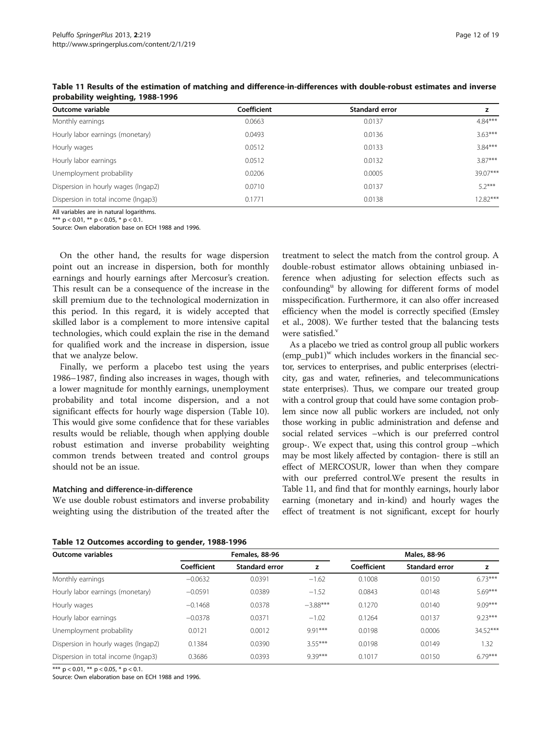| Outcome variable                    | Coefficient | Standard error |           |
|-------------------------------------|-------------|----------------|-----------|
| Monthly earnings                    | 0.0663      | 0.0137         | $4.84***$ |
| Hourly labor earnings (monetary)    | 0.0493      | 0.0136         | $3.63***$ |
| Hourly wages                        | 0.0512      | 0.0133         | $3.84***$ |
| Hourly labor earnings               | 0.0512      | 0.0132         | $3.87***$ |
| Unemployment probability            | 0.0206      | 0.0005         | 39.07***  |
| Dispersion in hourly wages (Ingap2) | 0.0710      | 0.0137         | $5.2***$  |
| Dispersion in total income (Ingap3) | 0.1771      | 0.0138         | 12.82***  |

<span id="page-11-0"></span>Table 11 Results of the estimation of matching and difference-in-differences with double-robust estimates and inverse probability weighting, 1988-1996

All variables are in natural logarithms.

\*\*\*  $p < 0.01$ , \*\*  $p < 0.05$ , \*  $p < 0.1$ . Source: Own elaboration base on ECH 1988 and 1996.

On the other hand, the results for wage dispersion point out an increase in dispersion, both for monthly earnings and hourly earnings after Mercosur's creation. This result can be a consequence of the increase in the skill premium due to the technological modernization in this period. In this regard, it is widely accepted that skilled labor is a complement to more intensive capital technologies, which could explain the rise in the demand for qualified work and the increase in dispersion, issue that we analyze below.

Finally, we perform a placebo test using the years 1986–1987, finding also increases in wages, though with a lower magnitude for monthly earnings, unemployment probability and total income dispersion, and a not significant effects for hourly wage dispersion (Table [10](#page-10-0)). This would give some confidence that for these variables results would be reliable, though when applying double robust estimation and inverse probability weighting common trends between treated and control groups should not be an issue.

#### Matching and difference-in-difference

We use double robust estimators and inverse probability weighting using the distribution of the treated after the

treatment to select the match from the control group. A double-robust estimator allows obtaining unbiased inference when adjusting for selection effects such as confounding<sup>u</sup> by allowing for different forms of model misspecification. Furthermore, it can also offer increased efficiency when the model is correctly specified (Emsley et al., [2008](#page-18-0)). We further tested that the balancing tests were satisfied.<sup>v</sup>

As a placebo we tried as control group all public workers  $(emp\_pub1)^{w}$  which includes workers in the financial sector, services to enterprises, and public enterprises (electricity, gas and water, refineries, and telecommunications state enterprises). Thus, we compare our treated group with a control group that could have some contagion problem since now all public workers are included, not only those working in public administration and defense and social related services –which is our preferred control group-. We expect that, using this control group –which may be most likely affected by contagion- there is still an effect of MERCOSUR, lower than when they compare with our preferred control.We present the results in Table 11, and find that for monthly earnings, hourly labor earning (monetary and in-kind) and hourly wages the effect of treatment is not significant, except for hourly

|  | Table 12 Outcomes according to gender, 1988-1996 |  |  |  |  |
|--|--------------------------------------------------|--|--|--|--|
|--|--------------------------------------------------|--|--|--|--|

| Outcome variables                   | Females, 88-96 |                       |            | Males, 88-96 |                       |           |  |
|-------------------------------------|----------------|-----------------------|------------|--------------|-----------------------|-----------|--|
|                                     | Coefficient    | <b>Standard error</b> | z          | Coefficient  | <b>Standard error</b> | z         |  |
| Monthly earnings                    | $-0.0632$      | 0.0391                | $-1.62$    | 0.1008       | 0.0150                | $6.73***$ |  |
| Hourly labor earnings (monetary)    | $-0.0591$      | 0.0389                | $-1.52$    | 0.0843       | 0.0148                | $5.69***$ |  |
| Hourly wages                        | $-0.1468$      | 0.0378                | $-3.88***$ | 0.1270       | 0.0140                | $9.09***$ |  |
| Hourly labor earnings               | $-0.0378$      | 0.0371                | $-1.02$    | 0.1264       | 0.0137                | $9.23***$ |  |
| Unemployment probability            | 0.0121         | 0.0012                | $9.91***$  | 0.0198       | 0.0006                | 34.52***  |  |
| Dispersion in hourly wages (Ingap2) | 0.1384         | 0.0390                | $3.55***$  | 0.0198       | 0.0149                | 1.32      |  |
| Dispersion in total income (Ingap3) | 0.3686         | 0.0393                | 9.39***    | 0.1017       | 0.0150                | 6.79***   |  |

\*\*\*  $p < 0.01$ , \*\*  $p < 0.05$ , \*  $p < 0.1$ .

Source: Own elaboration base on ECH 1988 and 1996.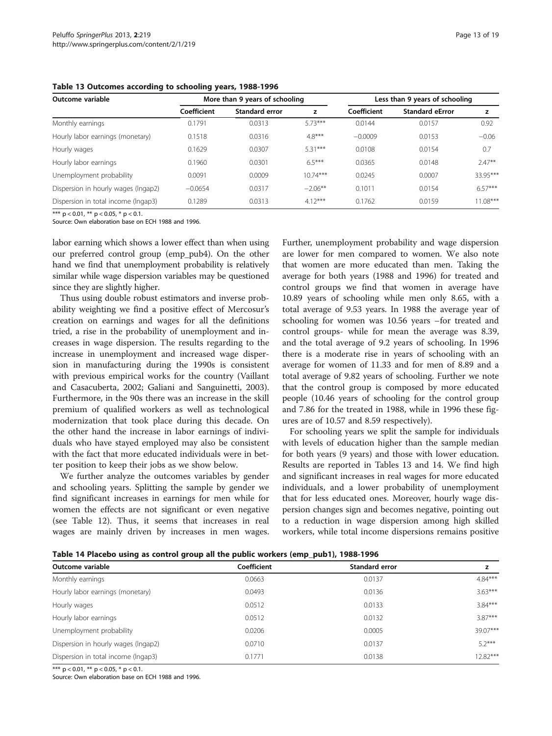| Table 13 Outcomes according to schooling years, 1988-1996 |  |  |  |  |
|-----------------------------------------------------------|--|--|--|--|
|-----------------------------------------------------------|--|--|--|--|

| Outcome variable                    | More than 9 years of schooling |                       |            | Less than 9 years of schooling |                        |            |  |
|-------------------------------------|--------------------------------|-----------------------|------------|--------------------------------|------------------------|------------|--|
|                                     | Coefficient                    | <b>Standard error</b> | z          | Coefficient                    | <b>Standard eError</b> | z          |  |
| Monthly earnings                    | 0.1791                         | 0.0313                | $5.73***$  | 0.0144                         | 0.0157                 | 0.92       |  |
| Hourly labor earnings (monetary)    | 0.1518                         | 0.0316                | $4.8***$   | $-0.0009$                      | 0.0153                 | $-0.06$    |  |
| Hourly wages                        | 0.1629                         | 0.0307                | $5.31***$  | 0.0108                         | 0.0154                 | 0.7        |  |
| Hourly labor earnings               | 0.1960                         | 0.0301                | $6.5***$   | 0.0365                         | 0.0148                 | $2.47**$   |  |
| Unemployment probability            | 0.0091                         | 0.0009                | $10.74***$ | 0.0245                         | 0.0007                 | 33.95***   |  |
| Dispersion in hourly wages (Ingap2) | $-0.0654$                      | 0.0317                | $-2.06***$ | 0.1011                         | 0.0154                 | $6.57***$  |  |
| Dispersion in total income (Ingap3) | 0.1289                         | 0.0313                | $4.12***$  | 0.1762                         | 0.0159                 | $11.08***$ |  |

\*\*\*  $p < 0.01$ , \*\*  $p < 0.05$ , \*  $p < 0.1$ .

Source: Own elaboration base on ECH 1988 and 1996.

labor earning which shows a lower effect than when using our preferred control group (emp\_pub4). On the other hand we find that unemployment probability is relatively similar while wage dispersion variables may be questioned since they are slightly higher.

Thus using double robust estimators and inverse probability weighting we find a positive effect of Mercosur's creation on earnings and wages for all the definitions tried, a rise in the probability of unemployment and increases in wage dispersion. The results regarding to the increase in unemployment and increased wage dispersion in manufacturing during the 1990s is consistent with previous empirical works for the country (Vaillant and Casacuberta, [2002;](#page-18-0) Galiani and Sanguinetti, [2003](#page-18-0)). Furthermore, in the 90s there was an increase in the skill premium of qualified workers as well as technological modernization that took place during this decade. On the other hand the increase in labor earnings of individuals who have stayed employed may also be consistent with the fact that more educated individuals were in better position to keep their jobs as we show below.

We further analyze the outcomes variables by gender and schooling years. Splitting the sample by gender we find significant increases in earnings for men while for women the effects are not significant or even negative (see Table [12](#page-11-0)). Thus, it seems that increases in real wages are mainly driven by increases in men wages.

Further, unemployment probability and wage dispersion are lower for men compared to women. We also note that women are more educated than men. Taking the average for both years (1988 and 1996) for treated and control groups we find that women in average have 10.89 years of schooling while men only 8.65, with a total average of 9.53 years. In 1988 the average year of schooling for women was 10.56 years –for treated and control groups- while for mean the average was 8.39, and the total average of 9.2 years of schooling. In 1996 there is a moderate rise in years of schooling with an average for women of 11.33 and for men of 8.89 and a total average of 9.82 years of schooling. Further we note that the control group is composed by more educated people (10.46 years of schooling for the control group and 7.86 for the treated in 1988, while in 1996 these figures are of 10.57 and 8.59 respectively).

For schooling years we split the sample for individuals with levels of education higher than the sample median for both years (9 years) and those with lower education. Results are reported in Tables 13 and 14. We find high and significant increases in real wages for more educated individuals, and a lower probability of unemployment that for less educated ones. Moreover, hourly wage dispersion changes sign and becomes negative, pointing out to a reduction in wage dispersion among high skilled workers, while total income dispersions remains positive

| Table 14 Placebo using as control group all the public workers (emp_pub1), 1988-1996 |  |  |
|--------------------------------------------------------------------------------------|--|--|
|--------------------------------------------------------------------------------------|--|--|

| Outcome variable                    | Coefficient | Standard error |            |
|-------------------------------------|-------------|----------------|------------|
| Monthly earnings                    | 0.0663      | 0.0137         | $4.84***$  |
| Hourly labor earnings (monetary)    | 0.0493      | 0.0136         | $3.63***$  |
| Hourly wages                        | 0.0512      | 0.0133         | $3.84***$  |
| Hourly labor earnings               | 0.0512      | 0.0132         | $3.87***$  |
| Unemployment probability            | 0.0206      | 0.0005         | $39.07***$ |
| Dispersion in hourly wages (Ingap2) | 0.0710      | 0.0137         | $52***$    |
| Dispersion in total income (Ingap3) | 0.1771      | 0.0138         | $12.82***$ |

\*\*\*  $p < 0.01$ , \*\*  $p < 0.05$ , \*  $p < 0.1$ .

Source: Own elaboration base on ECH 1988 and 1996.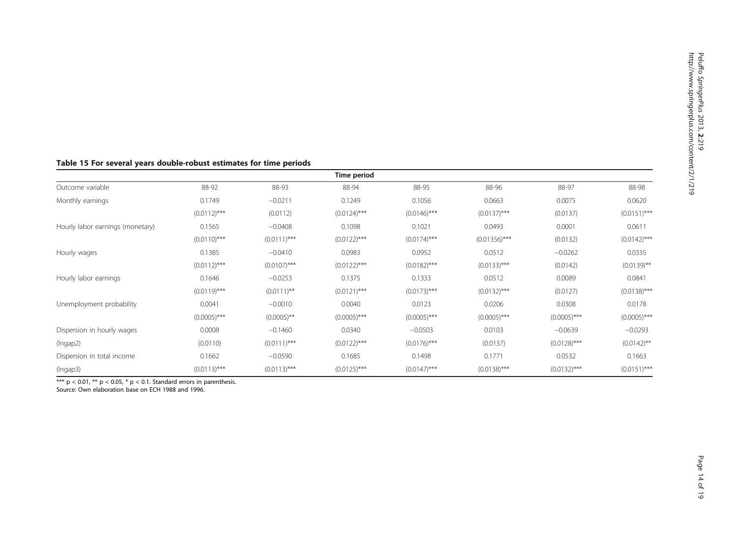# <span id="page-13-0"></span>Table 15 For several years double-robust estimates for time periods

|                                  |                |                 | Time period    |                |                 |                |                |
|----------------------------------|----------------|-----------------|----------------|----------------|-----------------|----------------|----------------|
| Outcome variable                 | 88-92          | 88-93           | 88-94          | 88-95          | 88-96           | 88-97          | 88-98          |
| Monthly earnings                 | 0.1749         | $-0.0211$       | 0.1249         | 0.1056         | 0.0663          | 0.0075         | 0.0620         |
|                                  | $(0.0112)$ *** | (0.0112)        | $(0.0124)$ *** | $(0.0146)$ *** | $(0.0137)$ ***  | (0.0137)       | $(0.0151)$ *** |
| Hourly labor earnings (monetary) | 0.1565         | $-0.0408$       | 0.1098         | 0.1021         | 0.0493          | 0.0001         | 0.0611         |
|                                  | $(0.0110)$ *** | $(0.0111)$ ***  | $(0.0122)$ *** | $(0.0174)$ *** | $(0.01356)$ *** | (0.0132)       | $(0.0142)$ *** |
| Hourly wages                     | 0.1385         | $-0.0410$       | 0.0983         | 0.0952         | 0.0512          | $-0.0262$      | 0.0335         |
|                                  | $(0.0112)$ *** | $(0.0107)$ ***  | $(0.0122)$ *** | $(0.0182)$ *** | $(0.0133)$ ***  | (0.0142)       | $(0.0139)$ **  |
| Hourly labor earnings            | 0.1646         | $-0.0253$       | 0.1375         | 0.1333         | 0.0512          | 0.0089         | 0.0841         |
|                                  | $(0.0119)$ *** | $(0.0111)^{**}$ | $(0.0121)$ *** | $(0.0173)$ *** | $(0.0132)$ ***  | (0.0127)       | $(0.0138)$ *** |
| Unemployment probability         | 0.0041         | $-0.0010$       | 0.0040         | 0.0123         | 0.0206          | 0.0308         | 0.0178         |
|                                  | $(0.0005)$ *** | $(0.0005)$ **   | $(0.0005)$ *** | $(0.0005)$ *** | $(0.0005)$ ***  | $(0.0005)$ *** | $(0.0005)$ *** |
| Dispersion in hourly wages       | 0.0008         | $-0.1460$       | 0.0340         | $-0.0503$      | 0.0103          | $-0.0639$      | $-0.0293$      |
| (Ingap2)                         | (0.0110)       | $(0.0111)$ ***  | $(0.0122)$ *** | $(0.0176)$ *** | (0.0137)        | $(0.0128)$ *** | $(0.0142)$ **  |
| Dispersion in total income       | 0.1662         | $-0.0590$       | 0.1685         | 0.1498         | 0.1771          | 0.0532         | 0.1663         |
| (Ingap3)                         | $(0.0113)$ *** | $(0.0113)$ ***  | $(0.0125)$ *** | $(0.0147)$ *** | $(0.0138)$ ***  | $(0.0132)$ *** | $(0.0151)$ *** |

\*\*\*  $p < 0.01$ , \*\*  $p < 0.05$ , \*  $p < 0.1$ . Standard errors in parenthesis.

Source: Own elaboration base on ECH 1988 and 1996.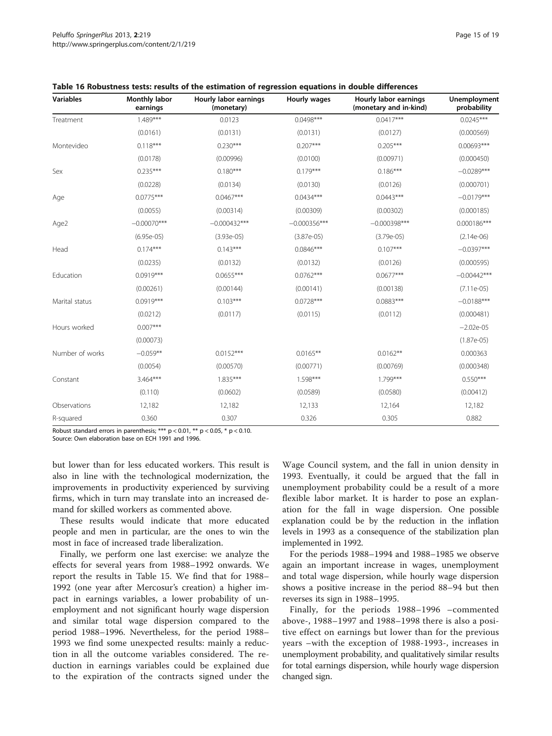| <b>Variables</b> | <b>Monthly labor</b><br>earnings | Hourly labor earnings<br>(monetary) | Hourly wages   | Hourly labor earnings<br>(monetary and in-kind) | <b>Unemployment</b><br>probability |
|------------------|----------------------------------|-------------------------------------|----------------|-------------------------------------------------|------------------------------------|
| Treatment        | $1.489***$                       | 0.0123                              | $0.0498***$    | $0.0417***$                                     | $0.0245***$                        |
|                  | (0.0161)                         | (0.0131)                            | (0.0131)       | (0.0127)                                        | (0.000569)                         |
| Montevideo       | $0.118***$                       | $0.230***$                          | $0.207***$     | $0.205***$                                      | 0.00693***                         |
|                  | (0.0178)                         | (0.00996)                           | (0.0100)       | (0.00971)                                       | (0.000450)                         |
| Sex              | $0.235***$                       | $0.180***$                          | $0.179***$     | $0.186***$                                      | $-0.0289***$                       |
|                  | (0.0228)                         | (0.0134)                            | (0.0130)       | (0.0126)                                        | (0.000701)                         |
| Age              | $0.0775***$                      | $0.0467***$                         | $0.0434***$    | $0.0443***$                                     | $-0.0179***$                       |
|                  | (0.0055)                         | (0.00314)                           | (0.00309)      | (0.00302)                                       | (0.000185)                         |
| Age2             | $-0.00070***$                    | $-0.000432***$                      | $-0.000356***$ | $-0.000398***$                                  | 0.000186***                        |
|                  | $(6.95e-05)$                     | $(3.93e-05)$                        | $(3.87e-05)$   | $(3.79e-05)$                                    | $(2.14e-06)$                       |
| Head             | $0.174***$                       | $0.143***$                          | $0.0846***$    | $0.107***$                                      | $-0.0397***$                       |
|                  | (0.0235)                         | (0.0132)                            | (0.0132)       | (0.0126)                                        | (0.000595)                         |
| Education        | $0.0919***$                      | $0.0655***$                         | $0.0762***$    | $0.0677***$                                     | $-0.00442***$                      |
|                  | (0.00261)                        | (0.00144)                           | (0.00141)      | (0.00138)                                       | $(7.11e-05)$                       |
| Marital status   | $0.0919***$                      | $0.103***$                          | $0.0728***$    | $0.0883***$                                     | $-0.0188***$                       |
|                  | (0.0212)                         | (0.0117)                            | (0.0115)       | (0.0112)                                        | (0.000481)                         |
| Hours worked     | $0.007***$                       |                                     |                |                                                 | $-2.02e-05$                        |
|                  | (0.00073)                        |                                     |                |                                                 | $(1.87e-05)$                       |
| Number of works  | $-0.059**$                       | $0.0152***$                         | $0.0165***$    | $0.0162**$                                      | 0.000363                           |
|                  | (0.0054)                         | (0.00570)                           | (0.00771)      | (0.00769)                                       | (0.000348)                         |
| Constant         | 3.464***                         | 1.835***                            | 1.598***       | $1.799***$                                      | $0.550***$                         |
|                  | (0.110)                          | (0.0602)                            | (0.0589)       | (0.0580)                                        | (0.00412)                          |
| Observations     | 12,182                           | 12,182                              | 12,133         | 12,164                                          | 12,182                             |
| R-squared        | 0.360                            | 0.307                               | 0.326          | 0.305                                           | 0.882                              |

<span id="page-14-0"></span>Table 16 Robustness tests: results of the estimation of regression equations in double differences

Robust standard errors in parenthesis; \*\*\*  $p < 0.01$ , \*\*  $p < 0.05$ , \*  $p < 0.10$ .

Source: Own elaboration base on ECH 1991 and 1996.

but lower than for less educated workers. This result is also in line with the technological modernization, the improvements in productivity experienced by surviving firms, which in turn may translate into an increased demand for skilled workers as commented above.

These results would indicate that more educated people and men in particular, are the ones to win the most in face of increased trade liberalization.

Finally, we perform one last exercise: we analyze the effects for several years from 1988–1992 onwards. We report the results in Table [15](#page-13-0). We find that for 1988– 1992 (one year after Mercosur's creation) a higher impact in earnings variables, a lower probability of unemployment and not significant hourly wage dispersion and similar total wage dispersion compared to the period 1988–1996. Nevertheless, for the period 1988– 1993 we find some unexpected results: mainly a reduction in all the outcome variables considered. The reduction in earnings variables could be explained due to the expiration of the contracts signed under the Wage Council system, and the fall in union density in 1993. Eventually, it could be argued that the fall in unemployment probability could be a result of a more flexible labor market. It is harder to pose an explanation for the fall in wage dispersion. One possible explanation could be by the reduction in the inflation levels in 1993 as a consequence of the stabilization plan implemented in 1992.

For the periods 1988–1994 and 1988–1985 we observe again an important increase in wages, unemployment and total wage dispersion, while hourly wage dispersion shows a positive increase in the period 88–94 but then reverses its sign in 1988–1995.

Finally, for the periods 1988–1996 –commented above-, 1988–1997 and 1988–1998 there is also a positive effect on earnings but lower than for the previous years –with the exception of 1988-1993-, increases in unemployment probability, and qualitatively similar results for total earnings dispersion, while hourly wage dispersion changed sign.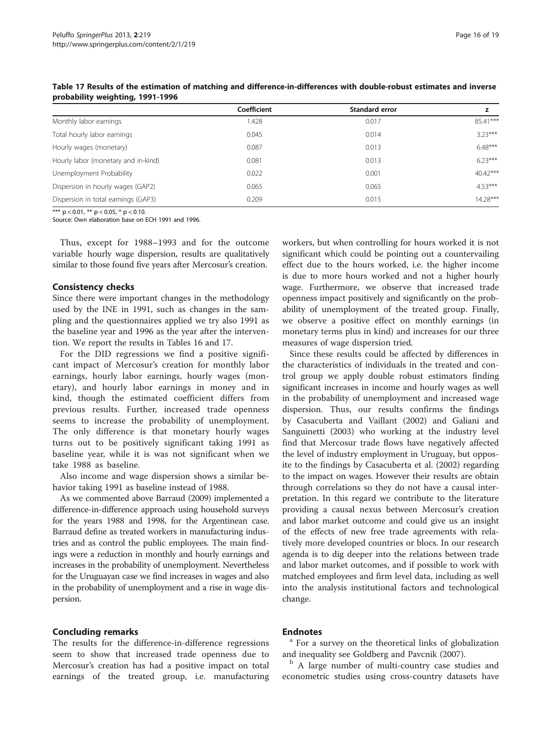|                                     | Coefficient | <b>Standard error</b> |            |
|-------------------------------------|-------------|-----------------------|------------|
| Monthly labor earnings              | 1.428       | 0.017                 | $85.41***$ |
| Total hourly labor earnings         | 0.045       | 0.014                 | $323***$   |
| Hourly wages (monetary)             | 0.087       | 0.013                 | $6.48***$  |
| Hourly labor (monetary and in-kind) | 0.081       | 0.013                 | $623***$   |
| Unemployment Probability            | 0.022       | 0.001                 | $40.42***$ |
| Dispersion in hourly wages (GAP2)   | 0.065       | 0.065                 | $4.53***$  |
| Dispersion in total earnings (GAP3) | 0.209       | 0.015                 | $14.28***$ |

Table 17 Results of the estimation of matching and difference-in-differences with double-robust estimates and inverse probability weighting, 1991-1996

\*\*\*  $p < 0.01$ , \*\*  $p < 0.05$ , \*  $p < 0.10$ .

Source: Own elaboration base on ECH 1991 and 1996.

Thus, except for 1988–1993 and for the outcome variable hourly wage dispersion, results are qualitatively similar to those found five years after Mercosur's creation.

#### Consistency checks

Since there were important changes in the methodology used by the INE in 1991, such as changes in the sampling and the questionnaires applied we try also 1991 as the baseline year and 1996 as the year after the intervention. We report the results in Tables [16](#page-14-0) and 17.

For the DID regressions we find a positive significant impact of Mercosur's creation for monthly labor earnings, hourly labor earnings, hourly wages (monetary), and hourly labor earnings in money and in kind, though the estimated coefficient differs from previous results. Further, increased trade openness seems to increase the probability of unemployment. The only difference is that monetary hourly wages turns out to be positively significant taking 1991 as baseline year, while it is was not significant when we take 1988 as baseline.

Also income and wage dispersion shows a similar behavior taking 1991 as baseline instead of 1988.

As we commented above Barraud [\(2009\)](#page-18-0) implemented a difference-in-difference approach using household surveys for the years 1988 and 1998, for the Argentinean case. Barraud define as treated workers in manufacturing industries and as control the public employees. The main findings were a reduction in monthly and hourly earnings and increases in the probability of unemployment. Nevertheless for the Uruguayan case we find increases in wages and also in the probability of unemployment and a rise in wage dispersion.

#### Concluding remarks

The results for the difference-in-difference regressions seem to show that increased trade openness due to Mercosur's creation has had a positive impact on total earnings of the treated group, i.e. manufacturing workers, but when controlling for hours worked it is not significant which could be pointing out a countervailing effect due to the hours worked, i.e. the higher income is due to more hours worked and not a higher hourly wage. Furthermore, we observe that increased trade openness impact positively and significantly on the probability of unemployment of the treated group. Finally, we observe a positive effect on monthly earnings (in monetary terms plus in kind) and increases for our three measures of wage dispersion tried.

Since these results could be affected by differences in the characteristics of individuals in the treated and control group we apply double robust estimators finding significant increases in income and hourly wages as well in the probability of unemployment and increased wage dispersion. Thus, our results confirms the findings by Casacuberta and Vaillant [\(2002\)](#page-18-0) and Galiani and Sanguinetti ([2003](#page-18-0)) who working at the industry level find that Mercosur trade flows have negatively affected the level of industry employment in Uruguay, but opposite to the findings by Casacuberta et al. ([2002](#page-18-0)) regarding to the impact on wages. However their results are obtain through correlations so they do not have a causal interpretation. In this regard we contribute to the literature providing a causal nexus between Mercosur's creation and labor market outcome and could give us an insight of the effects of new free trade agreements with relatively more developed countries or blocs. In our research agenda is to dig deeper into the relations between trade and labor market outcomes, and if possible to work with matched employees and firm level data, including as well into the analysis institutional factors and technological change.

**Endnotes**<br><sup>a</sup> For a survey on the theoretical links of globalization and inequality see Goldberg and Pavcnik ([2007](#page-18-0)).

<sup>b</sup> A large number of multi-country case studies and econometric studies using cross-country datasets have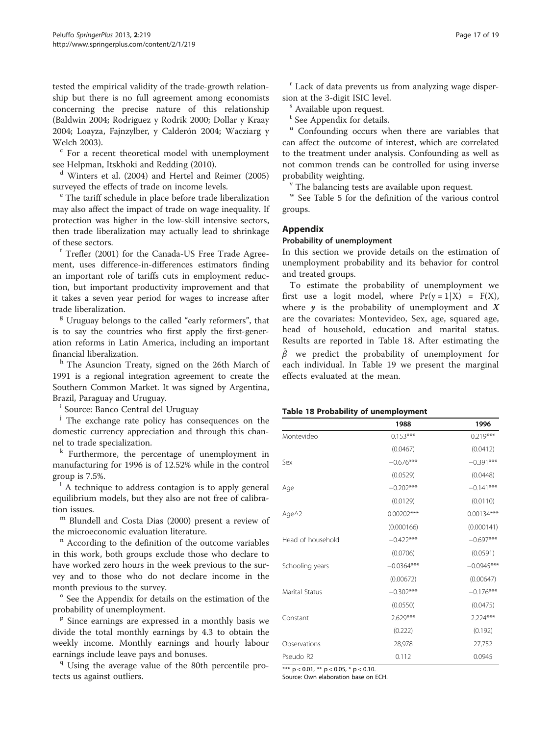tested the empirical validity of the trade-growth relationship but there is no full agreement among economists concerning the precise nature of this relationship (Baldwin [2004;](#page-18-0) Rodriguez y Rodrik [2000;](#page-18-0) Dollar y Kraay [2004](#page-18-0); Loayza, Fajnzylber, y Calderón [2004](#page-18-0); Wacziarg y Welch [2003\)](#page-18-0).<br> $\frac{c}{c}$  For a recent theoretical model with unemployment

see Helpman, Itskhoki and Redding ([2010](#page-18-0)).

<sup>d</sup> Winters et al. [\(2004\)](#page-18-0) and Hertel and Reimer ([2005](#page-18-0)) surveyed the effects of trade on income levels.<br>
<sup>e</sup> The tariff schedule in place before trade liberalization

may also affect the impact of trade on wage inequality. If protection was higher in the low-skill intensive sectors, then trade liberalization may actually lead to shrinkage of these sectors.

<sup>f</sup> Trefler ([2001](#page-18-0)) for the Canada-US Free Trade Agreement, uses difference-in-differences estimators finding an important role of tariffs cuts in employment reduction, but important productivity improvement and that it takes a seven year period for wages to increase after trade liberalization.

<sup>g</sup> Uruguay belongs to the called "early reformers", that is to say the countries who first apply the first-generation reforms in Latin America, including an important financial liberalization.

h The Asuncion Treaty, signed on the 26th March of 1991 is a regional integration agreement to create the Southern Common Market. It was signed by Argentina, Brazil, Paraguay and Uruguay.

<sup>i</sup> Source: Banco Central del Uruguay

<sup>j</sup> The exchange rate policy has consequences on the domestic currency appreciation and through this channel to trade specialization.

 $k$  Furthermore, the percentage of unemployment in manufacturing for 1996 is of 12.52% while in the control group is 7.5%.

 $\frac{1}{1}$  A technique to address contagion is to apply general equilibrium models, but they also are not free of calibra-tion issues.<br><sup>m</sup> Blundell and Costa Dias [\(2000\)](#page-18-0) present a review of

the microeconomic evaluation literature.<br><sup>n</sup> According to the definition of the outcome variables

in this work, both groups exclude those who declare to have worked zero hours in the week previous to the survey and to those who do not declare income in the month previous to the survey.<br><sup>o</sup> See the Appendix for details on the estimation of the

probability of unemployment.<br><sup>p</sup> Since earnings are expressed in a monthly basis we

divide the total monthly earnings by 4.3 to obtain the weekly income. Monthly earnings and hourly labour earnings include leave pays and bonuses.<br><sup>q</sup> Using the average value of the 80th percentile pro-

tects us against outliers.

<sup>r</sup> Lack of data prevents us from analyzing wage disper-

sion at the 3-digit ISIC level.<br><sup>s</sup> Available upon request.

<sup>t</sup> See Appendix for details.

<sup>u</sup> Confounding occurs when there are variables that can affect the outcome of interest, which are correlated to the treatment under analysis. Confounding as well as not common trends can be controlled for using inverse probability weighting.<br><sup>v</sup> The balancing tests are available upon request.

<sup>w</sup> See Table [5](#page-5-0) for the definition of the various control groups.

### Appendix

#### Probability of unemployment

In this section we provide details on the estimation of unemployment probability and its behavior for control and treated groups.

To estimate the probability of unemployment we first use a logit model, where  $Pr(y = 1 | X) = F(X)$ , where  $y$  is the probability of unemployment and  $X$ are the covariates: Montevideo, Sex, age, squared age, head of household, education and marital status. Results are reported in Table 18. After estimating the  $\hat{\beta}$  we predict the probability of unemployment for each individual. In Table [19](#page-17-0) we present the marginal effects evaluated at the mean.

#### Table 18 Probability of unemployment

|                   | 1988         | 1996         |
|-------------------|--------------|--------------|
| Montevideo        | $0.153***$   | $0.219***$   |
|                   | (0.0467)     | (0.0412)     |
| Sex               | $-0.676***$  | $-0.391***$  |
|                   | (0.0529)     | (0.0448)     |
| Age               | $-0.202***$  | $-0.141***$  |
|                   | (0.0129)     | (0.0110)     |
| Age^2             | $0.00202***$ | $0.00134***$ |
|                   | (0.000166)   | (0.000141)   |
| Head of household | $-0.422***$  | $-0.697***$  |
|                   | (0.0706)     | (0.0591)     |
| Schooling years   | $-0.0364***$ | $-0.0945***$ |
|                   | (0.00672)    | (0.00647)    |
| Marital Status    | $-0.302***$  | $-0.176***$  |
|                   | (0.0550)     | (0.0475)     |
| Constant          | 2.629***     | $2.224***$   |
|                   | (0.222)      | (0.192)      |
| Observations      | 28,978       | 27,752       |
| Pseudo R2         | 0.112        | 0.0945       |

\*\*\* p < 0.01, \*\* p < 0.05, \* p < 0.10.

Source: Own elaboration base on ECH.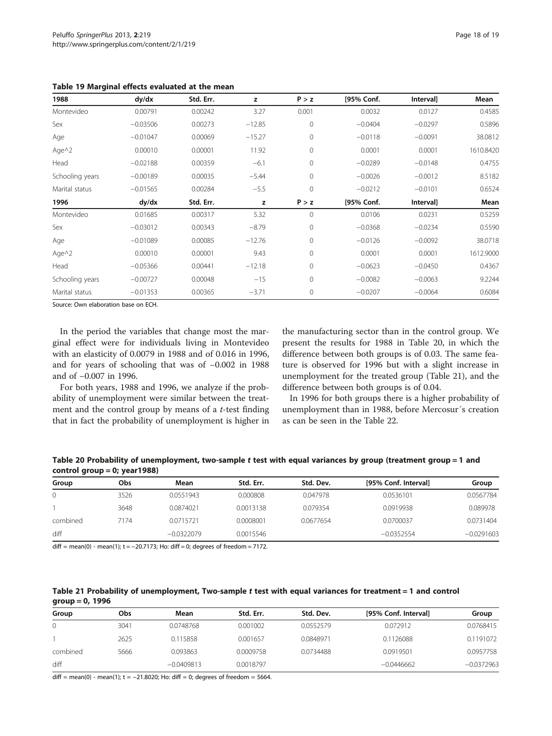| 1988            | dy/dx      | Std. Err. | z        | P > z        | [95% Conf. | Interval] | Mean      |
|-----------------|------------|-----------|----------|--------------|------------|-----------|-----------|
| Montevideo      | 0.00791    | 0.00242   | 3.27     | 0.001        | 0.0032     | 0.0127    | 0.4585    |
| Sex             | $-0.03506$ | 0.00273   | $-12.85$ | $\mathbf 0$  | $-0.0404$  | $-0.0297$ | 0.5896    |
| Age             | $-0.01047$ | 0.00069   | $-15.27$ | $\mathbf{0}$ | $-0.0118$  | $-0.0091$ | 38.0812   |
| Age $\wedge$ 2  | 0.00010    | 0.00001   | 11.92    | $\Omega$     | 0.0001     | 0.0001    | 1610.8420 |
| Head            | $-0.02188$ | 0.00359   | $-6.1$   | $\mathbf{0}$ | $-0.0289$  | $-0.0148$ | 0.4755    |
| Schooling years | $-0.00189$ | 0.00035   | $-5.44$  | $\Omega$     | $-0.0026$  | $-0.0012$ | 8.5182    |
| Marital status  | $-0.01565$ | 0.00284   | $-5.5$   | $\Omega$     | $-0.0212$  | $-0.0101$ | 0.6524    |
| 1996            | dy/dx      | Std. Err. | z        | P > z        | [95% Conf. | Interval] | Mean      |
| Montevideo      | 0.01685    | 0.00317   | 5.32     | $\Omega$     | 0.0106     | 0.0231    | 0.5259    |
| Sex             | $-0.03012$ | 0.00343   | $-8.79$  | $\Omega$     | $-0.0368$  | $-0.0234$ | 0.5590    |
| Age             | $-0.01089$ | 0.00085   | $-12.76$ | $\mathbf{0}$ | $-0.0126$  | $-0.0092$ | 38.0718   |
| Age $\wedge$ 2  | 0.00010    | 0.00001   | 9.43     | $\Omega$     | 0.0001     | 0.0001    | 1612.9000 |
| Head            | $-0.05366$ | 0.00441   | $-12.18$ | $\Omega$     | $-0.0623$  | $-0.0450$ | 0.4367    |
| Schooling years | $-0.00727$ | 0.00048   | $-15$    | $\mathbf{0}$ | $-0.0082$  | $-0.0063$ | 9.2244    |
| Marital status  | $-0.01353$ | 0.00365   | $-3.71$  | $\mathbf{0}$ | $-0.0207$  | $-0.0064$ | 0.6084    |

<span id="page-17-0"></span>Table 19 Marginal effects evaluated at the mean

Source: Own elaboration base on ECH.

In the period the variables that change most the marginal effect were for individuals living in Montevideo with an elasticity of 0.0079 in 1988 and of 0.016 in 1996, and for years of schooling that was of −0.002 in 1988 and of −0.007 in 1996.

For both years, 1988 and 1996, we analyze if the probability of unemployment were similar between the treatment and the control group by means of a  $t$ -test finding that in fact the probability of unemployment is higher in

the manufacturing sector than in the control group. We present the results for 1988 in Table 20, in which the difference between both groups is of 0.03. The same feature is observed for 1996 but with a slight increase in unemployment for the treated group (Table 21), and the difference between both groups is of 0.04.

In 1996 for both groups there is a higher probability of unemployment than in 1988, before Mercosur´s creation as can be seen in the Table [22.](#page-18-0)

Table 20 Probability of unemployment, two-sample t test with equal variances by group (treatment group = 1 and control group = 0; year1988)

| Group    | Obs  | Mean         | Std. Err. | Std. Dev. | [95% Conf. Interval] | Group        |
|----------|------|--------------|-----------|-----------|----------------------|--------------|
|          | 3526 | 0.0551943    | 0.000808  | 0.047978  | 0.0536101            | 0.0567784    |
|          | 3648 | 0.0874021    | 0.0013138 | 0.079354  | 0.0919938            | 0.089978     |
| combined | 7174 | 0.0715721    | 0.0008001 | 0.0677654 | 0.0700037            | 0.0731404    |
| diff     |      | $-0.0322079$ | 0.0015546 |           | $-0.0352554$         | $-0.0291603$ |

 $diff = mean(0) - mean(1); t = -20.7173; Ho: diff = 0; degrees of freedom = 7172.$ 

| Table 21 Probability of unemployment, Two-sample t test with equal variances for treatment = 1 and control |  |  |  |
|------------------------------------------------------------------------------------------------------------|--|--|--|
| group $= 0, 1996$                                                                                          |  |  |  |

| Group    | Obs  | Mean         | Std. Err. | Std. Dev. | [95% Conf. Interval] | Group        |
|----------|------|--------------|-----------|-----------|----------------------|--------------|
|          | 3041 | 0.0748768    | 0.001002  | 0.0552579 | 0.072912             | 0.0768415    |
|          | 2625 | 0.115858     | 0.001657  | 0.0848971 | 0.1126088            | 0.1191072    |
| combined | 5666 | 0.093863     | 0.0009758 | 0.0734488 | 0.0919501            | 0.0957758    |
| diff     |      | $-0.0409813$ | 0.0018797 |           | $-0.0446662$         | $-0.0372963$ |

diff = mean(0) - mean(1);  $t = -21.8020$ ; Ho: diff = 0; degrees of freedom = 5664.